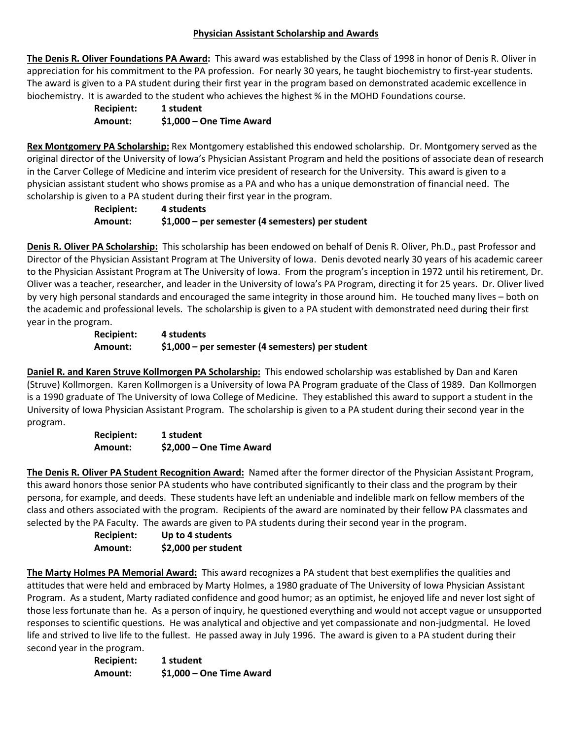### **Physician Assistant Scholarship and Awards**

**The Denis R. Oliver Foundations PA Award:** This award was established by the Class of 1998 in honor of Denis R. Oliver in appreciation for his commitment to the PA profession. For nearly 30 years, he taught biochemistry to first-year students. The award is given to a PA student during their first year in the program based on demonstrated academic excellence in biochemistry. It is awarded to the student who achieves the highest % in the MOHD Foundations course.

> **Recipient: 1 student Amount: \$1,000 – One Time Award**

**Rex Montgomery PA Scholarship:** Rex Montgomery established this endowed scholarship. Dr. Montgomery served as the original director of the University of Iowa's Physician Assistant Program and held the positions of associate dean of research in the Carver College of Medicine and interim vice president of research for the University. This award is given to a physician assistant student who shows promise as a PA and who has a unique demonstration of financial need. The scholarship is given to a PA student during their first year in the program.

**Recipient: 4 students Amount: \$1,000 – per semester (4 semesters) per student**

**Denis R. Oliver PA Scholarship:** This scholarship has been endowed on behalf of Denis R. Oliver, Ph.D., past Professor and Director of the Physician Assistant Program at The University of Iowa. Denis devoted nearly 30 years of his academic career to the Physician Assistant Program at The University of Iowa. From the program's inception in 1972 until his retirement, Dr. Oliver was a teacher, researcher, and leader in the University of Iowa's PA Program, directing it for 25 years. Dr. Oliver lived by very high personal standards and encouraged the same integrity in those around him. He touched many lives – both on the academic and professional levels. The scholarship is given to a PA student with demonstrated need during their first year in the program.

**Recipient: 4 students Amount: \$1,000 – per semester (4 semesters) per student**

**Daniel R. and Karen Struve Kollmorgen PA Scholarship:** This endowed scholarship was established by Dan and Karen (Struve) Kollmorgen. Karen Kollmorgen is a University of Iowa PA Program graduate of the Class of 1989. Dan Kollmorgen is a 1990 graduate of The University of Iowa College of Medicine. They established this award to support a student in the University of Iowa Physician Assistant Program. The scholarship is given to a PA student during their second year in the program.

> **Recipient: 1 student Amount: \$2,000 – One Time Award**

**The Denis R. Oliver PA Student Recognition Award:** Named after the former director of the Physician Assistant Program, this award honors those senior PA students who have contributed significantly to their class and the program by their persona, for example, and deeds. These students have left an undeniable and indelible mark on fellow members of the class and others associated with the program. Recipients of the award are nominated by their fellow PA classmates and selected by the PA Faculty. The awards are given to PA students during their second year in the program.

> **Recipient: Up to 4 students Amount: \$2,000 per student**

**The Marty Holmes PA Memorial Award:** This award recognizes a PA student that best exemplifies the qualities and attitudes that were held and embraced by Marty Holmes, a 1980 graduate of The University of Iowa Physician Assistant Program. As a student, Marty radiated confidence and good humor; as an optimist, he enjoyed life and never lost sight of those less fortunate than he. As a person of inquiry, he questioned everything and would not accept vague or unsupported responses to scientific questions. He was analytical and objective and yet compassionate and non-judgmental. He loved life and strived to live life to the fullest. He passed away in July 1996. The award is given to a PA student during their second year in the program.

> **Recipient: 1 student Amount: \$1,000 – One Time Award**